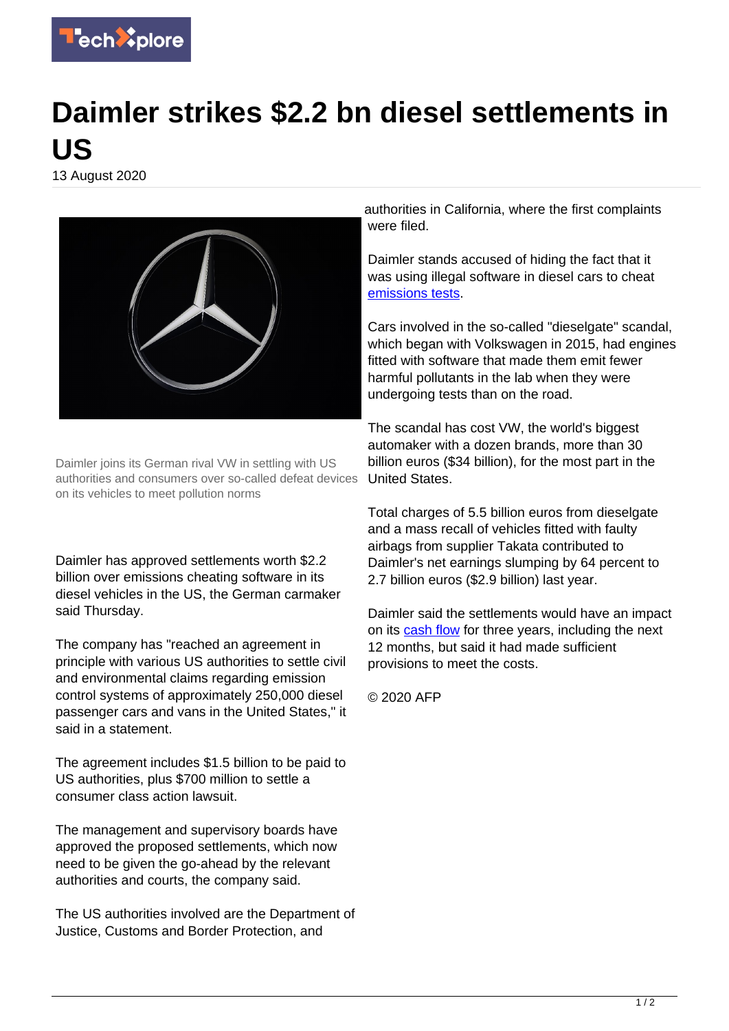

## **Daimler strikes \$2.2 bn diesel settlements in US**

13 August 2020



Daimler joins its German rival VW in settling with US authorities and consumers over so-called defeat devices on its vehicles to meet pollution norms

Daimler has approved settlements worth \$2.2 billion over emissions cheating software in its diesel vehicles in the US, the German carmaker said Thursday.

The company has "reached an agreement in principle with various US authorities to settle civil and environmental claims regarding emission control systems of approximately 250,000 diesel passenger cars and vans in the United States," it said in a statement.

The agreement includes \$1.5 billion to be paid to US authorities, plus \$700 million to settle a consumer class action lawsuit.

The management and supervisory boards have approved the proposed settlements, which now need to be given the go-ahead by the relevant authorities and courts, the company said.

The US authorities involved are the Department of Justice, Customs and Border Protection, and

authorities in California, where the first complaints were filed.

Daimler stands accused of hiding the fact that it was using illegal software in diesel cars to cheat [emissions tests.](https://techxplore.com/tags/emissions+tests/)

Cars involved in the so-called "dieselgate" scandal, which began with Volkswagen in 2015, had engines fitted with software that made them emit fewer harmful pollutants in the lab when they were undergoing tests than on the road.

The scandal has cost VW, the world's biggest automaker with a dozen brands, more than 30 billion euros (\$34 billion), for the most part in the United States.

Total charges of 5.5 billion euros from dieselgate and a mass recall of vehicles fitted with faulty airbags from supplier Takata contributed to Daimler's net earnings slumping by 64 percent to 2.7 billion euros (\$2.9 billion) last year.

Daimler said the settlements would have an impact on its [cash flow](https://techxplore.com/tags/cash+flow/) for three years, including the next 12 months, but said it had made sufficient provisions to meet the costs.

© 2020 AFP